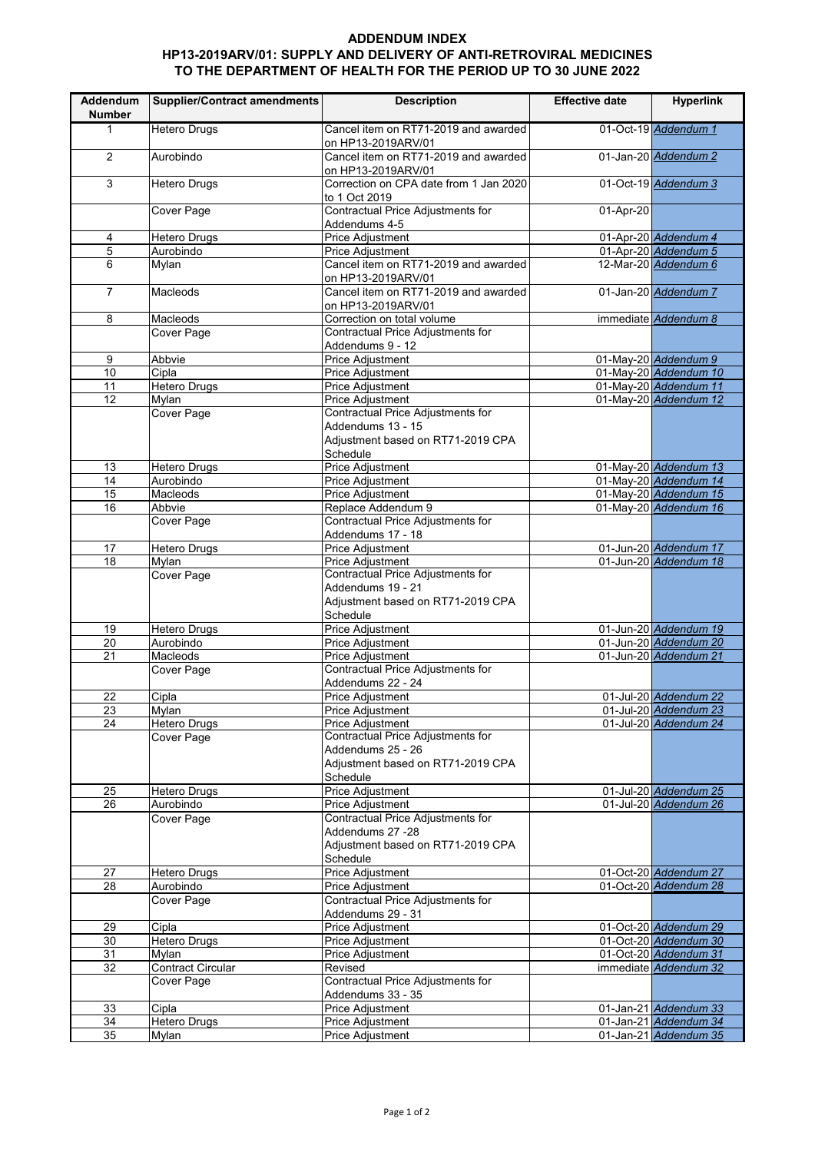## **ADDENDUM INDEX HP13-2019ARV/01: SUPPLY AND DELIVERY OF ANTI-RETROVIRAL MEDICINES TO THE DEPARTMENT OF HEALTH FOR THE PERIOD UP TO 30 JUNE 2022**

| Addendum<br><b>Number</b> | <b>Supplier/Contract amendments</b> | <b>Description</b>                                           | <b>Effective date</b> | <b>Hyperlink</b>                               |
|---------------------------|-------------------------------------|--------------------------------------------------------------|-----------------------|------------------------------------------------|
| $\mathbf{1}$              | <b>Hetero Drugs</b>                 | Cancel item on RT71-2019 and awarded<br>on HP13-2019ARV/01   |                       | 01-Oct-19 Addendum 1                           |
| 2                         | Aurobindo                           | Cancel item on RT71-2019 and awarded<br>on HP13-2019ARV/01   |                       | 01-Jan-20 Addendum 2                           |
| 3                         | <b>Hetero Drugs</b>                 | Correction on CPA date from 1 Jan 2020<br>to 1 Oct 2019      |                       | 01-Oct-19 Addendum 3                           |
|                           | <b>Cover Page</b>                   | Contractual Price Adjustments for<br>Addendums 4-5           | 01-Apr-20             |                                                |
| 4                         | <b>Hetero Drugs</b>                 | Price Adjustment                                             |                       | 01-Apr-20 Addendum 4                           |
| 5                         | Aurobindo                           | Price Adjustment                                             |                       | 01-Apr-20 Addendum 5                           |
| 6                         | Mylan                               | Cancel item on RT71-2019 and awarded<br>on HP13-2019ARV/01   |                       | 12-Mar-20 Addendum 6                           |
| $\overline{7}$            | <b>Macleods</b>                     | Cancel item on RT71-2019 and awarded<br>on HP13-2019ARV/01   |                       | 01-Jan-20 Addendum 7                           |
| 8                         | Macleods                            | Correction on total volume                                   |                       | immediate Addendum 8                           |
|                           | Cover Page                          | Contractual Price Adjustments for                            |                       |                                                |
|                           |                                     | Addendums 9 - 12                                             |                       |                                                |
| 9                         | Abbvie                              | Price Adjustment                                             |                       | 01-May-20 Addendum 9                           |
| 10                        | Cipla                               | Price Adjustment                                             |                       | 01-May-20 Addendum 10                          |
| 11<br>$\overline{12}$     | <b>Hetero Drugs</b>                 | Price Adjustment                                             |                       | 01-May-20 Addendum 11<br>01-May-20 Addendum 12 |
|                           | Mylan<br><b>Cover Page</b>          | Price Adjustment<br>Contractual Price Adjustments for        |                       |                                                |
|                           |                                     | Addendums 13 - 15                                            |                       |                                                |
|                           |                                     | Adjustment based on RT71-2019 CPA                            |                       |                                                |
|                           |                                     | Schedule                                                     |                       |                                                |
| 13                        | <b>Hetero Drugs</b>                 | Price Adjustment                                             |                       | 01-May-20 Addendum 13                          |
| $\overline{14}$           | Aurobindo                           | Price Adjustment                                             |                       | 01-May-20 Addendum 14                          |
| 15                        | Macleods                            | Price Adjustment                                             |                       | 01-May-20 Addendum 15                          |
| 16                        | Abbvie                              | Replace Addendum 9                                           |                       | 01-May-20 Addendum 16                          |
|                           | Cover Page                          | Contractual Price Adjustments for                            |                       |                                                |
|                           |                                     | Addendums 17 - 18                                            |                       |                                                |
| 17<br>18                  | <b>Hetero Drugs</b><br>Mylan        | Price Adjustment<br>Price Adjustment                         |                       | 01-Jun-20 Addendum 17<br>01-Jun-20 Addendum 18 |
|                           | Cover Page                          | Contractual Price Adjustments for                            |                       |                                                |
|                           |                                     | Addendums 19 - 21                                            |                       |                                                |
|                           |                                     | Adjustment based on RT71-2019 CPA                            |                       |                                                |
|                           |                                     | Schedule                                                     |                       |                                                |
| 19                        | <b>Hetero Drugs</b>                 | <b>Price Adjustment</b>                                      |                       | 01-Jun-20 Addendum 19                          |
| 20                        | Aurobindo                           | <b>Price Adjustment</b>                                      |                       | 01-Jun-20 Addendum 20                          |
| 21                        | Macleods                            | Price Adjustment                                             |                       | 01-Jun-20 Addendum 21                          |
|                           | <b>Cover Page</b>                   | Contractual Price Adjustments for                            |                       |                                                |
|                           |                                     | Addendums 22 - 24                                            |                       |                                                |
| 22                        | Cipla                               | Price Adjustment                                             |                       | 01-Jul-20 Addendum 22                          |
| 23                        | Mylan                               | Price Adjustment                                             |                       | 01-Jul-20 Addendum 23                          |
| 24                        | Hetero Drugs                        | <b>Price Adiustment</b><br>Contractual Price Adjustments for |                       | 01-Jul-20 Addendum 24                          |
|                           | Cover Page                          | Addendums 25 - 26                                            |                       |                                                |
|                           |                                     | Adjustment based on RT71-2019 CPA                            |                       |                                                |
|                           |                                     | Schedule                                                     |                       |                                                |
| 25                        | Hetero Drugs                        | <b>Price Adjustment</b>                                      |                       | 01-Jul-20 Addendum 25                          |
| 26                        | Aurobindo                           | Price Adjustment                                             |                       | 01-Jul-20 Addendum 26                          |
|                           | <b>Cover Page</b>                   | Contractual Price Adjustments for                            |                       |                                                |
|                           |                                     | Addendums 27 -28                                             |                       |                                                |
|                           |                                     | Adjustment based on RT71-2019 CPA                            |                       |                                                |
|                           |                                     | Schedule                                                     |                       |                                                |
| 27                        | Hetero Drugs                        | <b>Price Adjustment</b>                                      |                       | 01-Oct-20 Addendum 27                          |
| 28                        | Aurobindo                           | Price Adjustment                                             |                       | 01-Oct-20 Addendum 28                          |
|                           | <b>Cover Page</b>                   | Contractual Price Adjustments for<br>Addendums 29 - 31       |                       |                                                |
| 29                        | Cipla                               | Price Adjustment                                             |                       | 01-Oct-20 Addendum 29                          |
| 30                        | <b>Hetero Drugs</b>                 | Price Adjustment                                             |                       | 01-Oct-20 Addendum 30                          |
| 31                        | Mylan                               | Price Adjustment                                             |                       | 01-Oct-20 Addendum 31                          |
| 32                        | <b>Contract Circular</b>            | Revised                                                      |                       | immediate Addendum 32                          |
|                           | Cover Page                          | Contractual Price Adjustments for                            |                       |                                                |
|                           |                                     | Addendums 33 - 35                                            |                       |                                                |
| 33                        | Cipla                               | Price Adjustment                                             |                       | 01-Jan-21 Addendum 33                          |
| $\overline{34}$           | <b>Hetero Drugs</b>                 | Price Adjustment                                             |                       | 01-Jan-21 Addendum 34                          |
| $\overline{35}$           | Mylan                               | Price Adjustment                                             |                       | 01-Jan-21 Addendum 35                          |